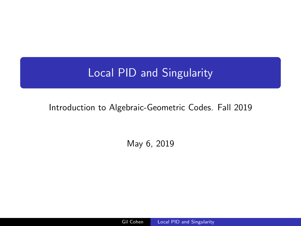# <span id="page-0-0"></span>Local PID and Singularity

### Introduction to Algebraic-Geometric Codes. Fall 2019

May 6, 2019

Gil Cohen Local PID and Singularity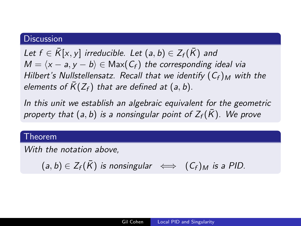#### **Discussion**

Let  $f \in \overline{K}[x, y]$  irreducible. Let  $(a, b) \in Z_f(\overline{K})$  and  $M = \langle x - a, y - b \rangle \in \text{Max}(C_f)$  the corresponding ideal via Hilbert's Nullstellensatz. Recall that we identify  $(C_f)_M$  with the elements of  $\overline{K}(Z_f)$  that are defined at (a, b).

In this unit we establish an algebraic equivalent for the geometric property that (a, b) is a nonsingular point of  $Z_f(\bar{K})$ . We prove

Theorem

With the notation above,

 $(a, b) \in Z_f(\overline{K})$  is nonsingular  $\iff$   $(C_f)_M$  is a PID.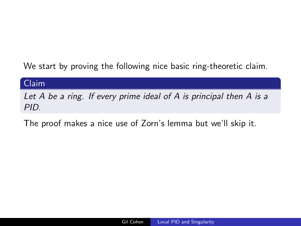We start by proving the following nice basic ring-theoretic claim.

#### Claim

Let A be a ring. If every prime ideal of A is principal then A is a PID.

The proof makes a nice use of Zorn's lemma but we'll skip it.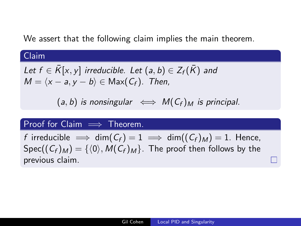We assert that the following claim implies the main theorem.

### Claim

Let 
$$
f \in \overline{K}[x, y]
$$
 irreducible. Let  $(a, b) \in Z_f(\overline{K})$  and  $M = \langle x - a, y - b \rangle \in Max(C_f)$ . Then,

 $(a, b)$  is nonsingular  $\iff M(C_f)_M$  is principal.

### Proof for Claim  $\implies$  Theorem.

f irreducible  $\implies$  dim( $C_f$ ) = 1  $\implies$  dim( $(C_f)_{M}$ ) = 1. Hence,  $Spec((C_f)_M) = \{ \langle 0 \rangle, M(C_f)_M \}.$  The proof then follows by the previous claim.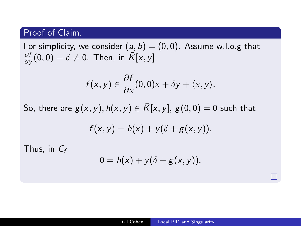### Proof of Claim.

For simplicity, we consider  $(a, b) = (0, 0)$ . Assume w.l.o.g that ∂f  $\frac{\partial f}{\partial y}(0,0)=\delta\neq 0$ . Then, in  $\bar{K}[x,y]$ 

$$
f(x,y)\in \frac{\partial f}{\partial x}(0,0)x+\delta y+\langle x,y\rangle.
$$

So, there are  $g(x, y)$ ,  $h(x, y) \in \overline{K}[x, y]$ ,  $g(0, 0) = 0$  such that

$$
f(x,y)=h(x)+y(\delta+g(x,y)).
$$

Thus, in  $C_f$ 

$$
0 = h(x) + y(\delta + g(x, y)).
$$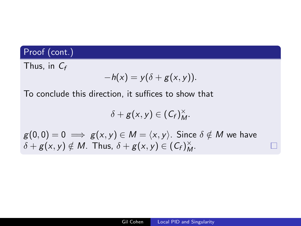Thus, in  $C_f$ 

$$
-h(x)=y(\delta+g(x,y)).
$$

To conclude this direction, it suffices to show that

$$
\delta+g(x,y)\in(\mathcal{C}_f)_{M}^{\times}.
$$

 $g(0, 0) = 0 \implies g(x, y) \in M = \langle x, y \rangle$ . Since  $\delta \notin M$  we have  $\delta + g(x, y) \notin M$ . Thus,  $\delta + g(x, y) \in (C_f)_{M}^{\times}$ .

 $\Box$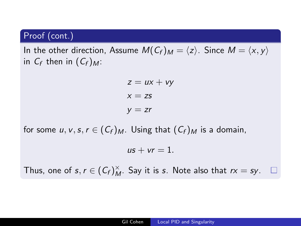In the other direction, Assume  $M(C_f)_M = \langle z \rangle$ . Since  $M = \langle x, y \rangle$ in  $C_f$  then in  $(C_f)_{M}$ :

$$
z = ux + vy
$$
  

$$
x = zs
$$
  

$$
y = zr
$$

for some u, v, s,  $r \in (C_f)_M$ . Using that  $(C_f)_M$  is a domain,

 $us + vr = 1$ .

Thus, one of  $s, r \in (C_f)_{M}^{\times}$ . Say it is s. Note also that  $rx = sy$ .  $\Box$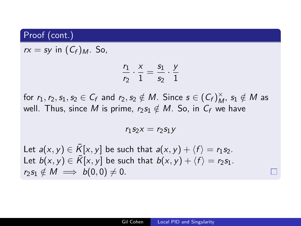$rx = sy$  in  $(C_f)_{M}$ . So,

$$
\frac{r_1}{r_2}\cdot\frac{x}{1}=\frac{s_1}{s_2}\cdot\frac{y}{1}
$$

for  $r_1, r_2, s_1, s_2 \in C_f$  and  $r_2, s_2 \notin M$ . Since  $s \in (C_f)_{M}^{\times}$ ,  $s_1 \notin M$  as well. Thus, since M is prime,  $r_2s_1 \notin M$ . So, in  $C_f$  we have

 $r_1$ S<sub>2</sub> $x = r_2$ S<sub>1</sub> $y$ 

Let  $a(x, y) \in \overline{K}[x, y]$  be such that  $a(x, y) + \langle f \rangle = r_1s_2$ . Let  $b(x, y) \in \overline{K}[x, y]$  be such that  $b(x, y) + \langle f \rangle = r_2s_1$ .  $r_2s_1 \notin M \implies b(0,0) \neq 0.$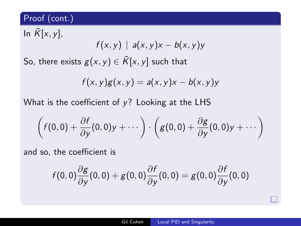In  $\overline{K}[x, y]$ ,  $f(x, y)$  |  $a(x, y)x - b(x, y)y$ So, there exists  $g(x, y) \in \overline{K}[x, y]$  such that

$$
f(x,y)g(x,y) = a(x,y)x - b(x,y)y
$$

What is the coefficient of  $y$ ? Looking at the LHS

$$
\left(f(0,0)+\frac{\partial f}{\partial y}(0,0)y+\cdots\right)\cdot\left(g(0,0)+\frac{\partial g}{\partial y}(0,0)y+\cdots\right)
$$

and so, the coefficient is

$$
f(0,0)\frac{\partial g}{\partial y}(0,0) + g(0,0)\frac{\partial f}{\partial y}(0,0) = g(0,0)\frac{\partial f}{\partial y}(0,0)
$$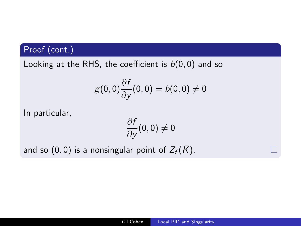Looking at the RHS, the coefficient is  $b(0, 0)$  and so

$$
g(0,0)\frac{\partial f}{\partial y}(0,0)=b(0,0)\neq 0
$$

In particular,

$$
\frac{\partial f}{\partial y}(0,0)\neq 0
$$

and so (0,0) is a nonsingular point of  $Z_f(\bar{K})$ .